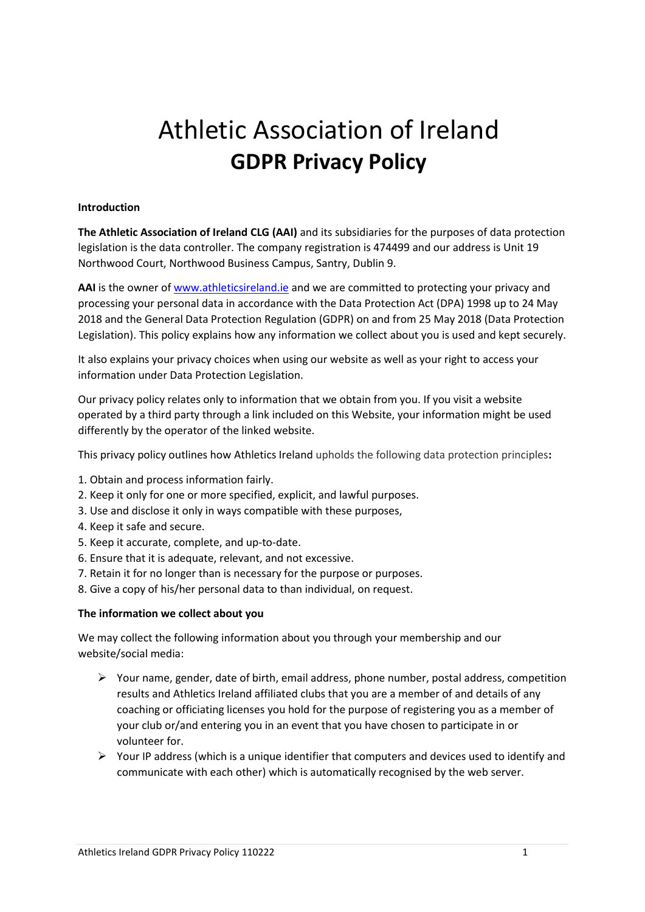# Athletic Association of Ireland **GDPR Privacy Policy**

# **Introduction**

**The Athletic Association of Ireland CLG (AAI)** and its subsidiaries for the purposes of data protection legislation is the data controller. The company registration is 474499 and our address is Unit 19 Northwood Court, Northwood Business Campus, Santry, Dublin 9.

**AAI** is the owner o[f www.athleticsireland.ie](http://www.athleticsireland.ie/) and we are committed to protecting your privacy and processing your personal data in accordance with the Data Protection Act (DPA) 1998 up to 24 May 2018 and the General Data Protection Regulation (GDPR) on and from 25 May 2018 (Data Protection Legislation). This policy explains how any information we collect about you is used and kept securely.

It also explains your privacy choices when using our website as well as your right to access your information under Data Protection Legislation.

Our privacy policy relates only to information that we obtain from you. If you visit a website operated by a third party through a link included on this Website, your information might be used differently by the operator of the linked website.

This privacy policy outlines how Athletics Ireland upholds the following data protection principles**:**

- 1. Obtain and process information fairly.
- 2. Keep it only for one or more specified, explicit, and lawful purposes.
- 3. Use and disclose it only in ways compatible with these purposes,
- 4. Keep it safe and secure.
- 5. Keep it accurate, complete, and up-to-date.
- 6. Ensure that it is adequate, relevant, and not excessive.
- 7. Retain it for no longer than is necessary for the purpose or purposes.
- 8. Give a copy of his/her personal data to than individual, on request.

#### **The information we collect about you**

We may collect the following information about you through your membership and our website/social media:

- $\triangleright$  Your name, gender, date of birth, email address, phone number, postal address, competition results and Athletics Ireland affiliated clubs that you are a member of and details of any coaching or officiating licenses you hold for the purpose of registering you as a member of your club or/and entering you in an event that you have chosen to participate in or volunteer for.
- $\triangleright$  Your IP address (which is a unique identifier that computers and devices used to identify and communicate with each other) which is automatically recognised by the web server.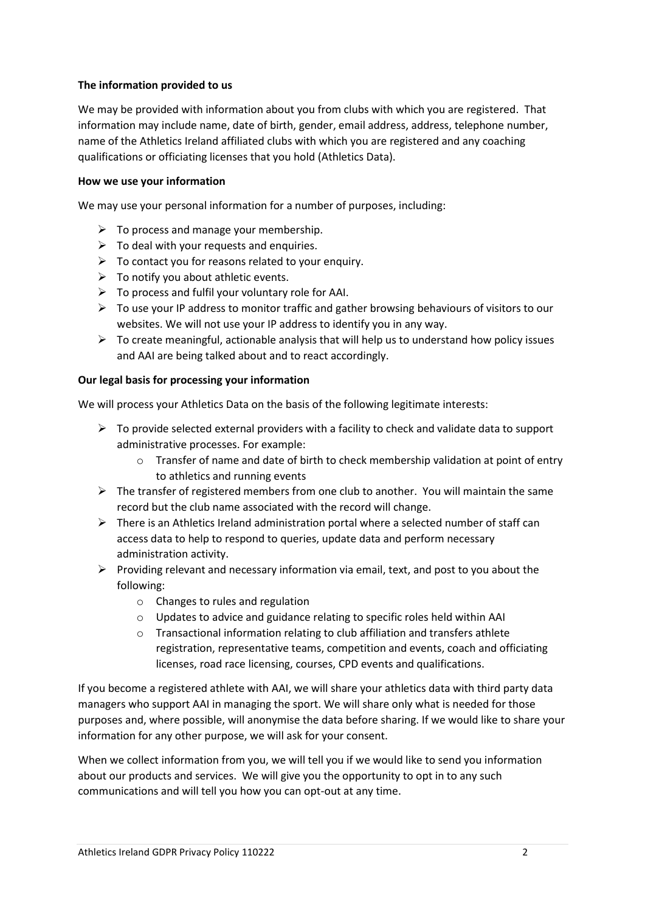# **The information provided to us**

We may be provided with information about you from clubs with which you are registered. That information may include name, date of birth, gender, email address, address, telephone number, name of the Athletics Ireland affiliated clubs with which you are registered and any coaching qualifications or officiating licenses that you hold (Athletics Data).

## **How we use your information**

We may use your personal information for a number of purposes, including:

- $\triangleright$  To process and manage your membership.
- $\triangleright$  To deal with your requests and enquiries.
- $\triangleright$  To contact you for reasons related to your enquiry.
- $\triangleright$  To notify you about athletic events.
- $\triangleright$  To process and fulfil your voluntary role for AAI.
- $\triangleright$  To use your IP address to monitor traffic and gather browsing behaviours of visitors to our websites. We will not use your IP address to identify you in any way.
- $\triangleright$  To create meaningful, actionable analysis that will help us to understand how policy issues and AAI are being talked about and to react accordingly.

# **Our legal basis for processing your information**

We will process your Athletics Data on the basis of the following legitimate interests:

- $\triangleright$  To provide selected external providers with a facility to check and validate data to support administrative processes. For example:
	- $\circ$  Transfer of name and date of birth to check membership validation at point of entry to athletics and running events
- $\triangleright$  The transfer of registered members from one club to another. You will maintain the same record but the club name associated with the record will change.
- $\triangleright$  There is an Athletics Ireland administration portal where a selected number of staff can access data to help to respond to queries, update data and perform necessary administration activity.
- $\triangleright$  Providing relevant and necessary information via email, text, and post to you about the following:
	- o Changes to rules and regulation
	- o Updates to advice and guidance relating to specific roles held within AAI
	- o Transactional information relating to club affiliation and transfers athlete registration, representative teams, competition and events, coach and officiating licenses, road race licensing, courses, CPD events and qualifications.

If you become a registered athlete with AAI, we will share your athletics data with third party data managers who support AAI in managing the sport. We will share only what is needed for those purposes and, where possible, will anonymise the data before sharing. If we would like to share your information for any other purpose, we will ask for your consent.

When we collect information from you, we will tell you if we would like to send you information about our products and services. We will give you the opportunity to opt in to any such communications and will tell you how you can opt-out at any time.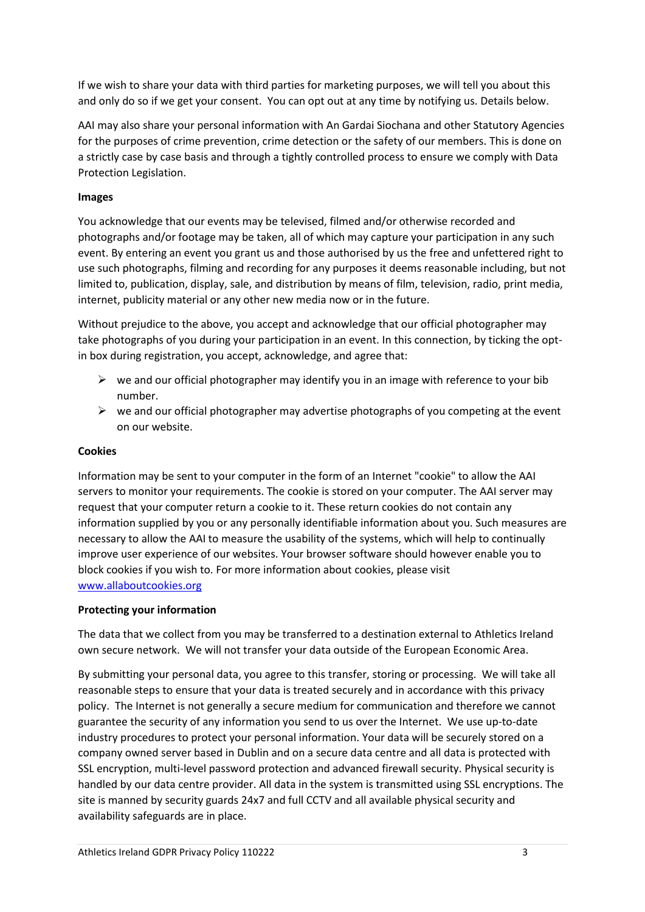If we wish to share your data with third parties for marketing purposes, we will tell you about this and only do so if we get your consent. You can opt out at any time by notifying us. Details below.

AAI may also share your personal information with An Gardai Siochana and other Statutory Agencies for the purposes of crime prevention, crime detection or the safety of our members. This is done on a strictly case by case basis and through a tightly controlled process to ensure we comply with Data Protection Legislation.

# **Images**

You acknowledge that our events may be televised, filmed and/or otherwise recorded and photographs and/or footage may be taken, all of which may capture your participation in any such event. By entering an event you grant us and those authorised by us the free and unfettered right to use such photographs, filming and recording for any purposes it deems reasonable including, but not limited to, publication, display, sale, and distribution by means of film, television, radio, print media, internet, publicity material or any other new media now or in the future.

Without prejudice to the above, you accept and acknowledge that our official photographer may take photographs of you during your participation in an event. In this connection, by ticking the optin box during registration, you accept, acknowledge, and agree that:

- $\triangleright$  we and our official photographer may identify you in an image with reference to your bib number.
- $\triangleright$  we and our official photographer may advertise photographs of you competing at the event on our website.

# **Cookies**

Information may be sent to your computer in the form of an Internet "cookie" to allow the AAI servers to monitor your requirements. The cookie is stored on your computer. The AAI server may request that your computer return a cookie to it. These return cookies do not contain any information supplied by you or any personally identifiable information about you. Such measures are necessary to allow the AAI to measure the usability of the systems, which will help to continually improve user experience of our websites. Your browser software should however enable you to block cookies if you wish to. For more information about cookies, please visit [www.allaboutcookies.org](http://www.allaboutcookies.org/)

# **Protecting your information**

The data that we collect from you may be transferred to a destination external to Athletics Ireland own secure network. We will not transfer your data outside of the European Economic Area.

By submitting your personal data, you agree to this transfer, storing or processing. We will take all reasonable steps to ensure that your data is treated securely and in accordance with this privacy policy. The Internet is not generally a secure medium for communication and therefore we cannot guarantee the security of any information you send to us over the Internet. We use up-to-date industry procedures to protect your personal information. Your data will be securely stored on a company owned server based in Dublin and on a secure data centre and all data is protected with SSL encryption, multi-level password protection and advanced firewall security. Physical security is handled by our data centre provider. All data in the system is transmitted using SSL encryptions. The site is manned by security guards 24x7 and full CCTV and all available physical security and availability safeguards are in place.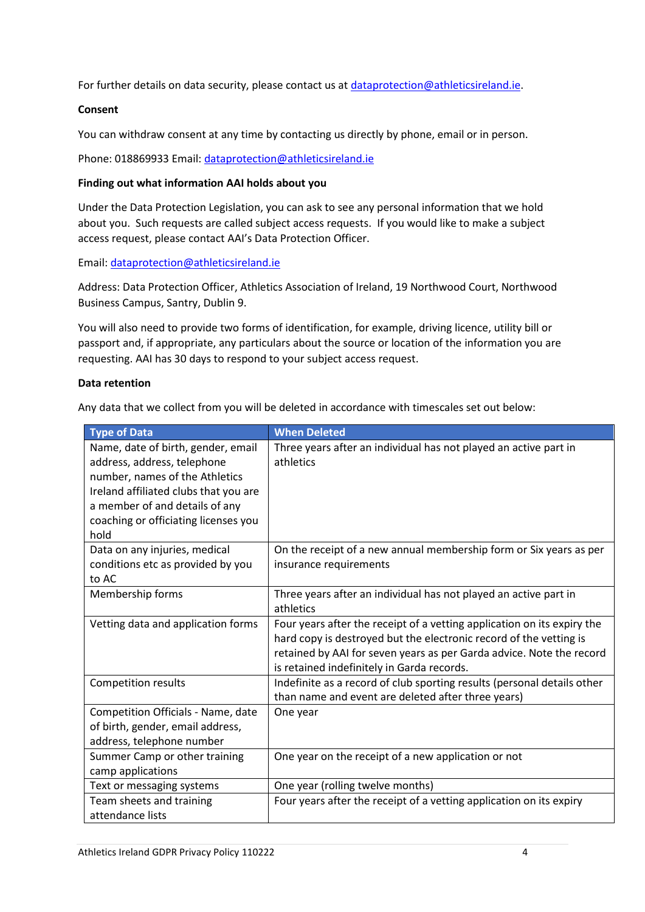For further details on data security, please contact us at [dataprotection@athleticsireland.ie.](mailto:dataprotection@athleticsireland.ie)

## **Consent**

You can withdraw consent at any time by contacting us directly by phone, email or in person.

Phone: 018869933 Email[: dataprotection@athleticsireland.ie](mailto:dataprotection@athleticsireland.ie)

## **Finding out what information AAI holds about you**

Under the Data Protection Legislation, you can ask to see any personal information that we hold about you. Such requests are called subject access requests. If you would like to make a subject access request, please contact AAI's Data Protection Officer.

Email: [dataprotection@athleticsireland.ie](mailto:dataprotection@athleticsireland.ie)

Address: Data Protection Officer, Athletics Association of Ireland, 19 Northwood Court, Northwood Business Campus, Santry, Dublin 9.

You will also need to provide two forms of identification, for example, driving licence, utility bill or passport and, if appropriate, any particulars about the source or location of the information you are requesting. AAI has 30 days to respond to your subject access request.

#### **Data retention**

Any data that we collect from you will be deleted in accordance with timescales set out below:

| <b>Type of Data</b>                                                                                                                                                                                                            | <b>When Deleted</b>                                                                                                                                                                                                                                                 |
|--------------------------------------------------------------------------------------------------------------------------------------------------------------------------------------------------------------------------------|---------------------------------------------------------------------------------------------------------------------------------------------------------------------------------------------------------------------------------------------------------------------|
| Name, date of birth, gender, email<br>address, address, telephone<br>number, names of the Athletics<br>Ireland affiliated clubs that you are<br>a member of and details of any<br>coaching or officiating licenses you<br>hold | Three years after an individual has not played an active part in<br>athletics                                                                                                                                                                                       |
| Data on any injuries, medical<br>conditions etc as provided by you<br>to AC                                                                                                                                                    | On the receipt of a new annual membership form or Six years as per<br>insurance requirements                                                                                                                                                                        |
| Membership forms                                                                                                                                                                                                               | Three years after an individual has not played an active part in<br>athletics                                                                                                                                                                                       |
| Vetting data and application forms                                                                                                                                                                                             | Four years after the receipt of a vetting application on its expiry the<br>hard copy is destroyed but the electronic record of the vetting is<br>retained by AAI for seven years as per Garda advice. Note the record<br>is retained indefinitely in Garda records. |
| <b>Competition results</b>                                                                                                                                                                                                     | Indefinite as a record of club sporting results (personal details other<br>than name and event are deleted after three years)                                                                                                                                       |
| Competition Officials - Name, date<br>of birth, gender, email address,<br>address, telephone number                                                                                                                            | One year                                                                                                                                                                                                                                                            |
| Summer Camp or other training<br>camp applications                                                                                                                                                                             | One year on the receipt of a new application or not                                                                                                                                                                                                                 |
| Text or messaging systems                                                                                                                                                                                                      | One year (rolling twelve months)                                                                                                                                                                                                                                    |
| Team sheets and training<br>attendance lists                                                                                                                                                                                   | Four years after the receipt of a vetting application on its expiry                                                                                                                                                                                                 |